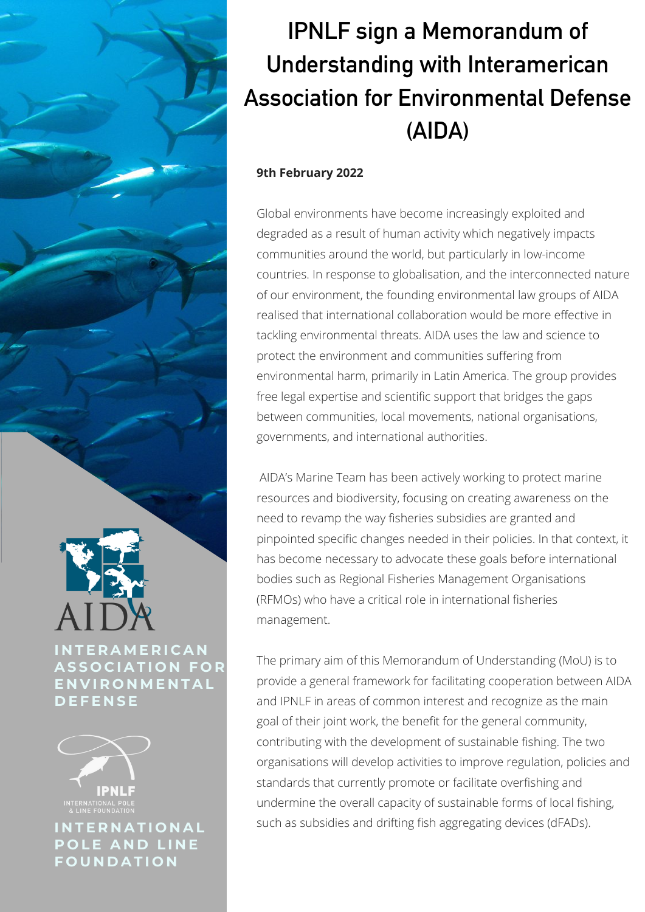## IPNLF sign a Memorandum of Understanding with Interamerican Association for Environmental Defense (AIDA)

## **9th February 2022**

Global environments have become increasingly exploited and degraded as a result of human activity which negatively impacts communities around the world, but particularly in low-income countries. In response to globalisation, and the interconnected nature of our environment, the founding environmental law groups of AIDA realised that international collaboration would be more effective in tackling environmental threats. AIDA uses the law and science to protect the environment and communities suffering from environmental harm, primarily in Latin America. The group provides free legal expertise and scientific support that bridges the gaps between communities, local movements, national organisations, governments, and international authorities.

AIDA's Marine Team has been actively working to protect marine resources and biodiversity, focusing on creating awareness on the need to revamp the way fisheries subsidies are granted and pinpointed specific changes needed in their policies. In that context, it has become necessary to advocate these goals before international bodies such as Regional Fisheries Management Organisations (RFMOs) who have a critical role in international fisheries management.

The primary aim of this Memorandum of Understanding (MoU) is to provide a general framework for facilitating cooperation between AIDA and IPNLF in areas of common interest and recognize as the main goal of their joint work, the benefit for the general community, contributing with the development of sustainable fishing. The two organisations will develop activities to improve regulation, policies and standards that currently promote or facilitate overfishing and undermine the overall capacity of sustainable forms of local fishing, such as subsidies and drifting fish aggregating devices (dFADs).

**I N T E R A M E R I C A N A S S O C I A T I O N F O R E N V I R O N M E N T A L D E F E N S E**



**I N T E R N A T I O N A L P O L E A N D L I N E F O U N D A T I O N**